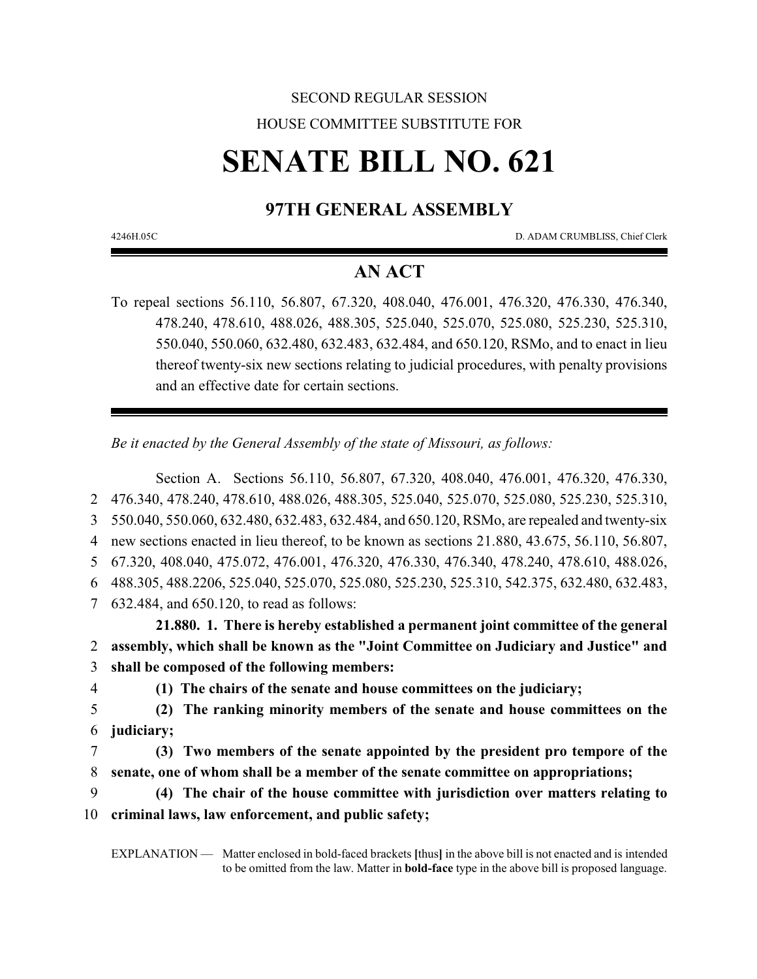## SECOND REGULAR SESSION HOUSE COMMITTEE SUBSTITUTE FOR

# **SENATE BILL NO. 621**

## **97TH GENERAL ASSEMBLY**

4246H.05C D. ADAM CRUMBLISS, Chief Clerk

### **AN ACT**

To repeal sections 56.110, 56.807, 67.320, 408.040, 476.001, 476.320, 476.330, 476.340, 478.240, 478.610, 488.026, 488.305, 525.040, 525.070, 525.080, 525.230, 525.310, 550.040, 550.060, 632.480, 632.483, 632.484, and 650.120, RSMo, and to enact in lieu thereof twenty-six new sections relating to judicial procedures, with penalty provisions and an effective date for certain sections.

*Be it enacted by the General Assembly of the state of Missouri, as follows:*

Section A. Sections 56.110, 56.807, 67.320, 408.040, 476.001, 476.320, 476.330, 476.340, 478.240, 478.610, 488.026, 488.305, 525.040, 525.070, 525.080, 525.230, 525.310, 550.040, 550.060, 632.480, 632.483, 632.484, and 650.120, RSMo, are repealed and twenty-six new sections enacted in lieu thereof, to be known as sections 21.880, 43.675, 56.110, 56.807, 67.320, 408.040, 475.072, 476.001, 476.320, 476.330, 476.340, 478.240, 478.610, 488.026, 488.305, 488.2206, 525.040, 525.070, 525.080, 525.230, 525.310, 542.375, 632.480, 632.483, 632.484, and 650.120, to read as follows:

**21.880. 1. There is hereby established a permanent joint committee of the general** 2 **assembly, which shall be known as the "Joint Committee on Judiciary and Justice" and** 3 **shall be composed of the following members:**

4 **(1) The chairs of the senate and house committees on the judiciary;**

- 5 **(2) The ranking minority members of the senate and house committees on the** 6 **judiciary;**
- 7 **(3) Two members of the senate appointed by the president pro tempore of the** 8 **senate, one of whom shall be a member of the senate committee on appropriations;**
- 9 **(4) The chair of the house committee with jurisdiction over matters relating to** 10 **criminal laws, law enforcement, and public safety;**

EXPLANATION — Matter enclosed in bold-faced brackets **[**thus**]** in the above bill is not enacted and is intended to be omitted from the law. Matter in **bold-face** type in the above bill is proposed language.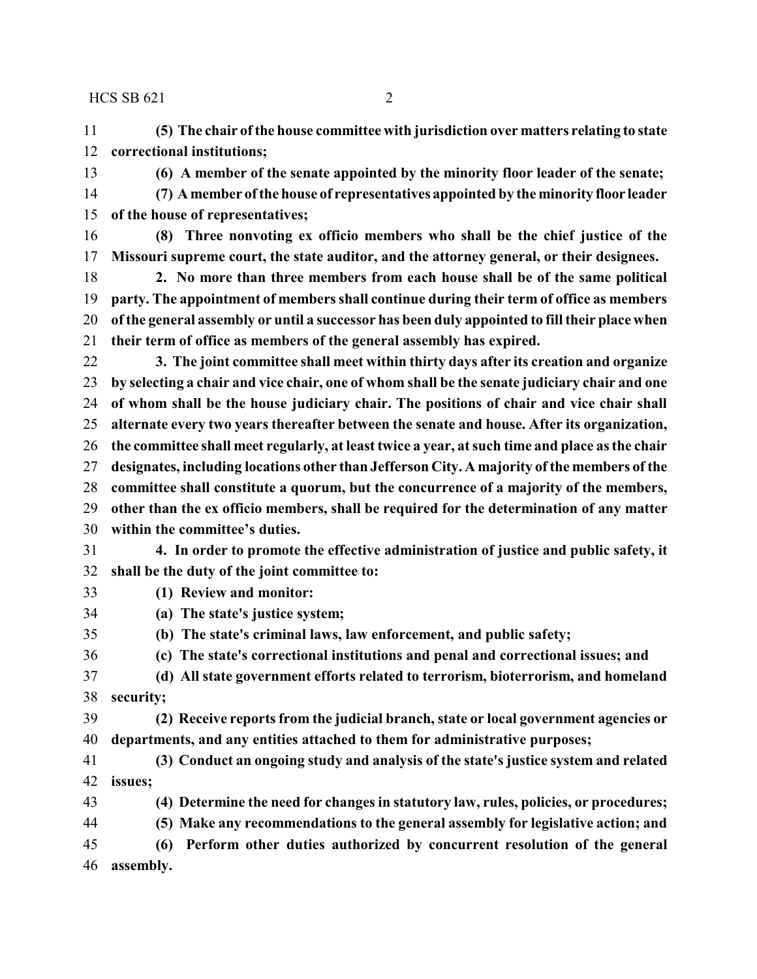**(5) The chair of the house committee with jurisdiction over matters relating to state correctional institutions;**

**(6) A member of the senate appointed by the minority floor leader of the senate;**

- **(7) A member ofthe house of representatives appointed by the minority floor leader of the house of representatives;**
- **(8) Three nonvoting ex officio members who shall be the chief justice of the Missouri supreme court, the state auditor, and the attorney general, or their designees.**
- **2. No more than three members from each house shall be of the same political party. The appointment of members shall continue during their term of office as members of the general assembly or until a successor has been duly appointed to fill their place when their term of office as members of the general assembly has expired.**
- **3. The joint committee shall meet within thirty days after its creation and organize by selecting a chair and vice chair, one of whom shall be the senate judiciary chair and one of whom shall be the house judiciary chair. The positions of chair and vice chair shall alternate every two years thereafter between the senate and house. After its organization, the committee shall meet regularly, at least twice a year, at such time and place as the chair designates, including locations other than Jefferson City. A majority of the members of the committee shall constitute a quorum, but the concurrence of a majority of the members, other than the ex officio members, shall be required for the determination of any matter**
- **within the committee's duties.**
- **4. In order to promote the effective administration of justice and public safety, it shall be the duty of the joint committee to:**
- **(1) Review and monitor:**
- **(a) The state's justice system;**
- **(b) The state's criminal laws, law enforcement, and public safety;**
- **(c) The state's correctional institutions and penal and correctional issues; and**
- **(d) All state government efforts related to terrorism, bioterrorism, and homeland security;**
- **(2) Receive reports from the judicial branch, state or local government agencies or departments, and any entities attached to them for administrative purposes;**
- **(3) Conduct an ongoing study and analysis of the state's justice system and related issues;**
- **(4) Determine the need for changes in statutory law, rules, policies, or procedures;**
- **(5) Make any recommendations to the general assembly for legislative action; and**
- **(6) Perform other duties authorized by concurrent resolution of the general assembly.**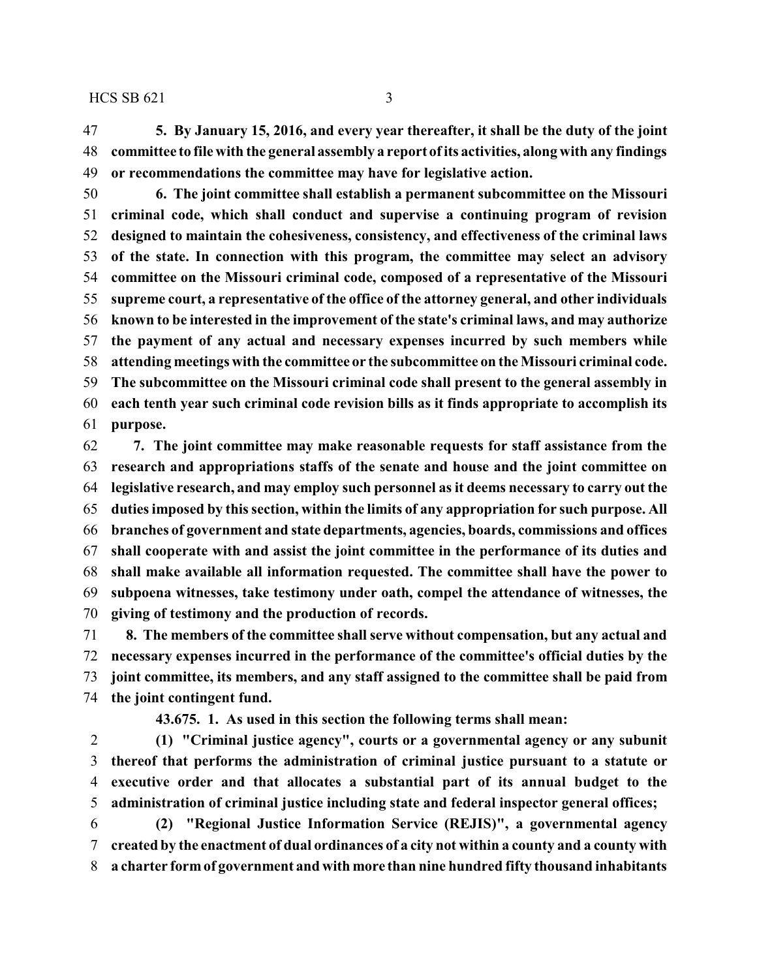**5. By January 15, 2016, and every year thereafter, it shall be the duty of the joint committee to file with the general assembly a report ofits activities, along with any findings or recommendations the committee may have for legislative action.**

 **6. The joint committee shall establish a permanent subcommittee on the Missouri criminal code, which shall conduct and supervise a continuing program of revision designed to maintain the cohesiveness, consistency, and effectiveness of the criminal laws of the state. In connection with this program, the committee may select an advisory committee on the Missouri criminal code, composed of a representative of the Missouri supreme court, a representative of the office of the attorney general, and other individuals known to be interested in the improvement of the state's criminal laws, and may authorize the payment of any actual and necessary expenses incurred by such members while attending meetings with the committee or the subcommittee on the Missouri criminal code. The subcommittee on the Missouri criminal code shall present to the general assembly in each tenth year such criminal code revision bills as it finds appropriate to accomplish its purpose.**

 **7. The joint committee may make reasonable requests for staff assistance from the research and appropriations staffs of the senate and house and the joint committee on legislative research, and may employ such personnel as it deems necessary to carry out the duties imposed by this section, within the limits of any appropriation for such purpose. All branches of government and state departments, agencies, boards, commissions and offices shall cooperate with and assist the joint committee in the performance of its duties and shall make available all information requested. The committee shall have the power to subpoena witnesses, take testimony under oath, compel the attendance of witnesses, the giving of testimony and the production of records.**

 **8. The members of the committee shall serve without compensation, but any actual and necessary expenses incurred in the performance of the committee's official duties by the joint committee, its members, and any staff assigned to the committee shall be paid from the joint contingent fund.**

**43.675. 1. As used in this section the following terms shall mean:**

 **(1) "Criminal justice agency", courts or a governmental agency or any subunit thereof that performs the administration of criminal justice pursuant to a statute or executive order and that allocates a substantial part of its annual budget to the administration of criminal justice including state and federal inspector general offices;**

 **(2) "Regional Justice Information Service (REJIS)", a governmental agency created by the enactment of dual ordinances of a city not within a county and a county with a charter form of government and with more than nine hundred fifty thousand inhabitants**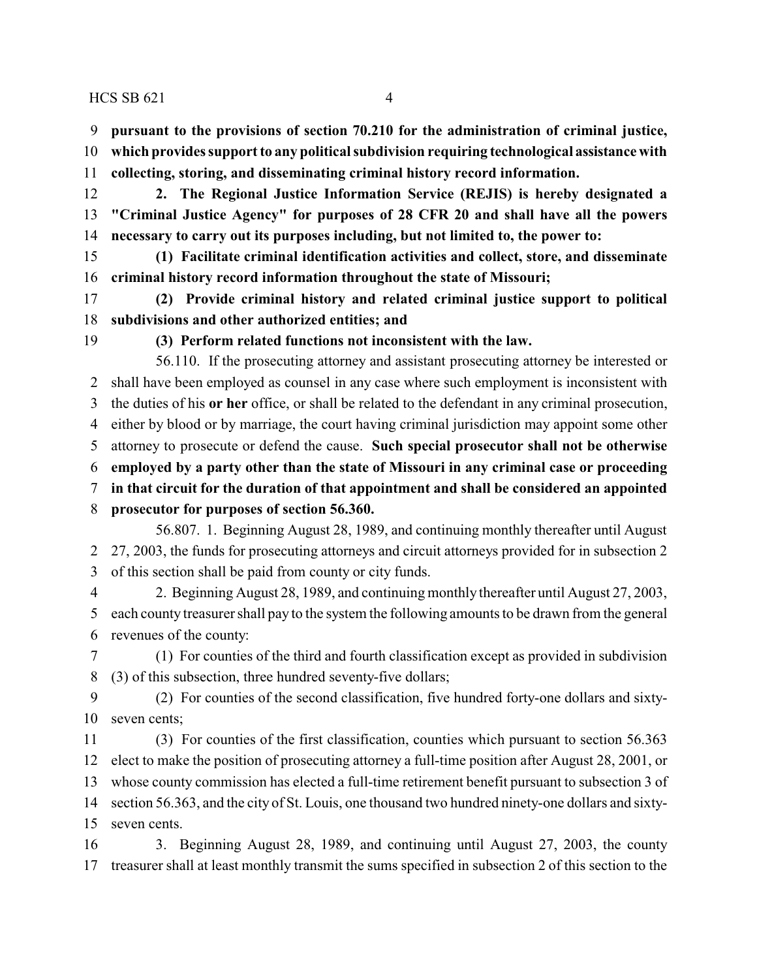**pursuant to the provisions of section 70.210 for the administration of criminal justice,**

- **which provides support to any political subdivision requiring technological assistance with**
- **collecting, storing, and disseminating criminal history record information.**
- **2. The Regional Justice Information Service (REJIS) is hereby designated a "Criminal Justice Agency" for purposes of 28 CFR 20 and shall have all the powers necessary to carry out its purposes including, but not limited to, the power to:**
- **(1) Facilitate criminal identification activities and collect, store, and disseminate criminal history record information throughout the state of Missouri;**
- **(2) Provide criminal history and related criminal justice support to political subdivisions and other authorized entities; and**
- 

**(3) Perform related functions not inconsistent with the law.**

56.110. If the prosecuting attorney and assistant prosecuting attorney be interested or shall have been employed as counsel in any case where such employment is inconsistent with the duties of his **or her** office, or shall be related to the defendant in any criminal prosecution, either by blood or by marriage, the court having criminal jurisdiction may appoint some other attorney to prosecute or defend the cause. **Such special prosecutor shall not be otherwise employed by a party other than the state of Missouri in any criminal case or proceeding in that circuit for the duration of that appointment and shall be considered an appointed prosecutor for purposes of section 56.360.** 56.807. 1. Beginning August 28, 1989, and continuing monthly thereafter until August 27, 2003, the funds for prosecuting attorneys and circuit attorneys provided for in subsection 2

of this section shall be paid from county or city funds.

 2. Beginning August 28, 1989, and continuing monthly thereafter until August 27, 2003, each county treasurer shall pay to the system the following amounts to be drawn from the general revenues of the county:

 (1) For counties of the third and fourth classification except as provided in subdivision (3) of this subsection, three hundred seventy-five dollars;

 (2) For counties of the second classification, five hundred forty-one dollars and sixty-seven cents;

 (3) For counties of the first classification, counties which pursuant to section 56.363 elect to make the position of prosecuting attorney a full-time position after August 28, 2001, or whose county commission has elected a full-time retirement benefit pursuant to subsection 3 of section 56.363, and the city of St. Louis, one thousand two hundred ninety-one dollars and sixty-seven cents.

 3. Beginning August 28, 1989, and continuing until August 27, 2003, the county treasurer shall at least monthly transmit the sums specified in subsection 2 of this section to the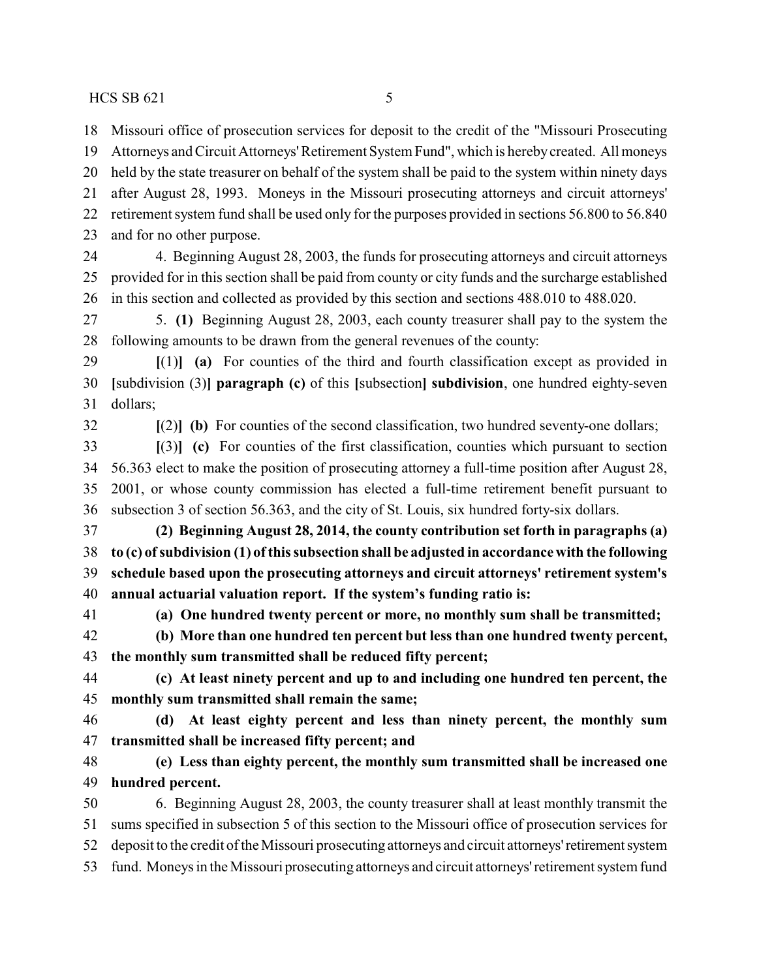Missouri office of prosecution services for deposit to the credit of the "Missouri Prosecuting

 Attorneys and Circuit Attorneys'Retirement System Fund", which is herebycreated. All moneys held by the state treasurer on behalf of the system shall be paid to the system within ninety days after August 28, 1993. Moneys in the Missouri prosecuting attorneys and circuit attorneys' retirement system fund shall be used only for the purposes provided in sections 56.800 to 56.840 and for no other purpose. 4. Beginning August 28, 2003, the funds for prosecuting attorneys and circuit attorneys provided for in this section shall be paid from county or city funds and the surcharge established in this section and collected as provided by this section and sections 488.010 to 488.020. 5. **(1)** Beginning August 28, 2003, each county treasurer shall pay to the system the following amounts to be drawn from the general revenues of the county: **[**(1)**] (a)** For counties of the third and fourth classification except as provided in **[**subdivision (3)**] paragraph (c)** of this **[**subsection**] subdivision**, one hundred eighty-seven dollars; **[**(2)**] (b)** For counties of the second classification, two hundred seventy-one dollars; **[**(3)**] (c)** For counties of the first classification, counties which pursuant to section 56.363 elect to make the position of prosecuting attorney a full-time position after August 28, 2001, or whose county commission has elected a full-time retirement benefit pursuant to subsection 3 of section 56.363, and the city of St. Louis, six hundred forty-six dollars. **(2) Beginning August 28, 2014, the county contribution set forth in paragraphs (a) to (c) ofsubdivision (1) ofthis subsection shall be adjusted in accordance with the following schedule based upon the prosecuting attorneys and circuit attorneys' retirement system's annual actuarial valuation report. If the system's funding ratio is: (a) One hundred twenty percent or more, no monthly sum shall be transmitted; (b) More than one hundred ten percent but less than one hundred twenty percent, the monthly sum transmitted shall be reduced fifty percent; (c) At least ninety percent and up to and including one hundred ten percent, the monthly sum transmitted shall remain the same; (d) At least eighty percent and less than ninety percent, the monthly sum transmitted shall be increased fifty percent; and** 

 **(e) Less than eighty percent, the monthly sum transmitted shall be increased one hundred percent.**

 6. Beginning August 28, 2003, the county treasurer shall at least monthly transmit the sums specified in subsection 5 of this section to the Missouri office of prosecution services for 52 deposit to the credit of the Missouri prosecuting attorneys and circuit attorneys' retirement system fund. Moneys in the Missouri prosecuting attorneys and circuit attorneys'retirement system fund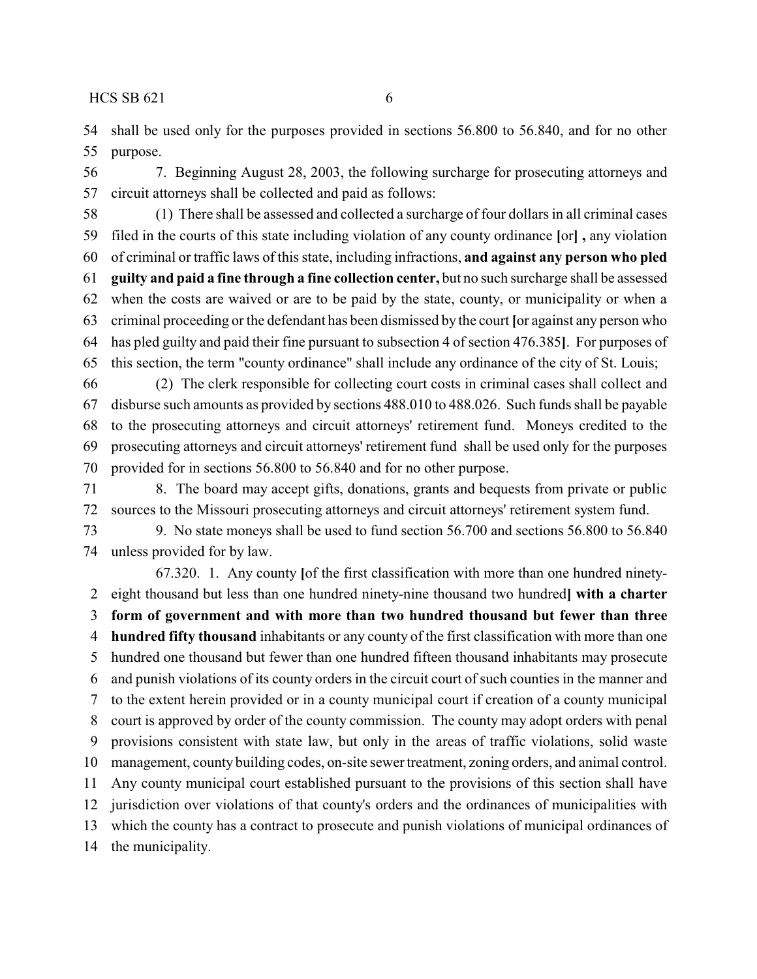shall be used only for the purposes provided in sections 56.800 to 56.840, and for no other purpose.

 7. Beginning August 28, 2003, the following surcharge for prosecuting attorneys and circuit attorneys shall be collected and paid as follows:

 (1) There shall be assessed and collected a surcharge of four dollars in all criminal cases filed in the courts of this state including violation of any county ordinance **[**or**] ,** any violation of criminal or traffic laws of this state, including infractions, **and against any person who pled guilty and paid a fine through a fine collection center,** but no such surcharge shall be assessed when the costs are waived or are to be paid by the state, county, or municipality or when a criminal proceeding or the defendant has been dismissed by the court **[**or against any person who has pled guilty and paid their fine pursuant to subsection 4 of section 476.385**]**. For purposes of this section, the term "county ordinance" shall include any ordinance of the city of St. Louis;

 (2) The clerk responsible for collecting court costs in criminal cases shall collect and disburse such amounts as provided by sections 488.010 to 488.026. Such funds shall be payable to the prosecuting attorneys and circuit attorneys' retirement fund. Moneys credited to the prosecuting attorneys and circuit attorneys' retirement fund shall be used only for the purposes provided for in sections 56.800 to 56.840 and for no other purpose.

 8. The board may accept gifts, donations, grants and bequests from private or public sources to the Missouri prosecuting attorneys and circuit attorneys' retirement system fund.

 9. No state moneys shall be used to fund section 56.700 and sections 56.800 to 56.840 unless provided for by law.

67.320. 1. Any county **[**of the first classification with more than one hundred ninety- eight thousand but less than one hundred ninety-nine thousand two hundred**] with a charter form of government and with more than two hundred thousand but fewer than three hundred fifty thousand** inhabitants or any county of the first classification with more than one hundred one thousand but fewer than one hundred fifteen thousand inhabitants may prosecute and punish violations of its county orders in the circuit court of such counties in the manner and to the extent herein provided or in a county municipal court if creation of a county municipal court is approved by order of the county commission. The county may adopt orders with penal provisions consistent with state law, but only in the areas of traffic violations, solid waste management, county building codes, on-site sewer treatment, zoning orders, and animal control. Any county municipal court established pursuant to the provisions of this section shall have jurisdiction over violations of that county's orders and the ordinances of municipalities with which the county has a contract to prosecute and punish violations of municipal ordinances of the municipality.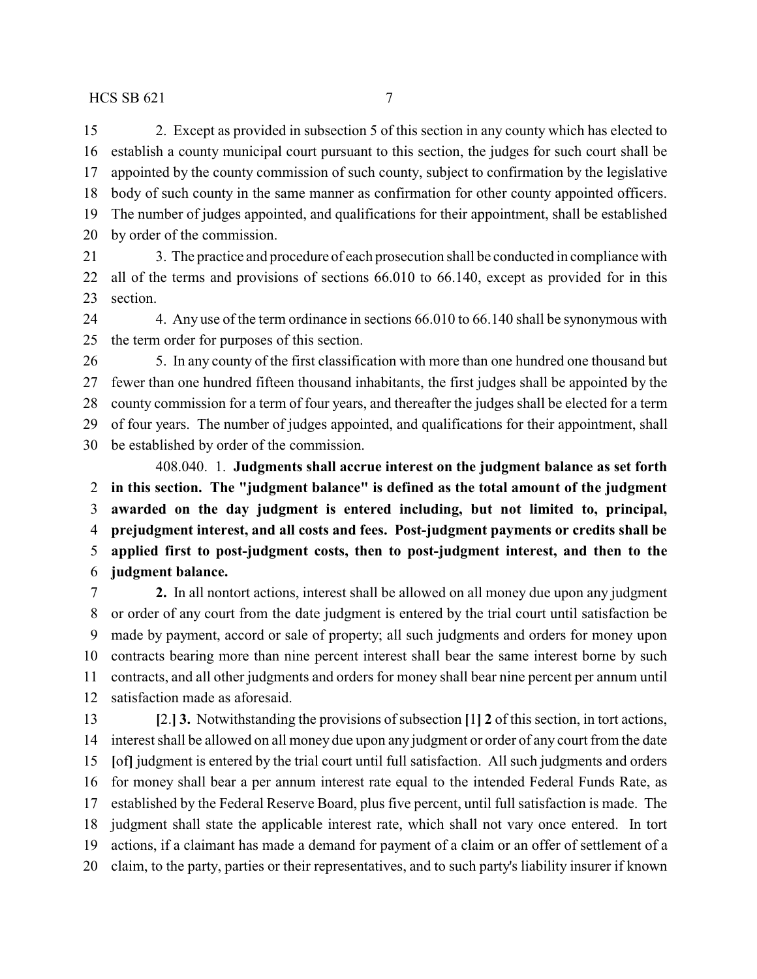2. Except as provided in subsection 5 of this section in any county which has elected to establish a county municipal court pursuant to this section, the judges for such court shall be appointed by the county commission of such county, subject to confirmation by the legislative body of such county in the same manner as confirmation for other county appointed officers. The number of judges appointed, and qualifications for their appointment, shall be established by order of the commission.

 3. The practice and procedure of each prosecution shall be conducted in compliance with all of the terms and provisions of sections 66.010 to 66.140, except as provided for in this section.

24 4. Any use of the term ordinance in sections 66.010 to 66.140 shall be synonymous with the term order for purposes of this section.

 5. In any county of the first classification with more than one hundred one thousand but fewer than one hundred fifteen thousand inhabitants, the first judges shall be appointed by the county commission for a term of four years, and thereafter the judges shall be elected for a term of four years. The number of judges appointed, and qualifications for their appointment, shall be established by order of the commission. 408.040. 1. **Judgments shall accrue interest on the judgment balance as set forth**

 **in this section. The "judgment balance" is defined as the total amount of the judgment awarded on the day judgment is entered including, but not limited to, principal, prejudgment interest, and all costs and fees. Post-judgment payments or credits shall be applied first to post-judgment costs, then to post-judgment interest, and then to the judgment balance.**

 **2.** In all nontort actions, interest shall be allowed on all money due upon any judgment or order of any court from the date judgment is entered by the trial court until satisfaction be made by payment, accord or sale of property; all such judgments and orders for money upon contracts bearing more than nine percent interest shall bear the same interest borne by such contracts, and all other judgments and orders for money shall bear nine percent per annum until satisfaction made as aforesaid.

 **[**2.**] 3.** Notwithstanding the provisions of subsection **[**1**] 2** of this section, in tort actions, interest shall be allowed on all money due upon any judgment or order of any court from the date **[**of**]** judgment is entered by the trial court until full satisfaction. All such judgments and orders for money shall bear a per annum interest rate equal to the intended Federal Funds Rate, as established by the Federal Reserve Board, plus five percent, until full satisfaction is made. The judgment shall state the applicable interest rate, which shall not vary once entered. In tort actions, if a claimant has made a demand for payment of a claim or an offer of settlement of a claim, to the party, parties or their representatives, and to such party's liability insurer if known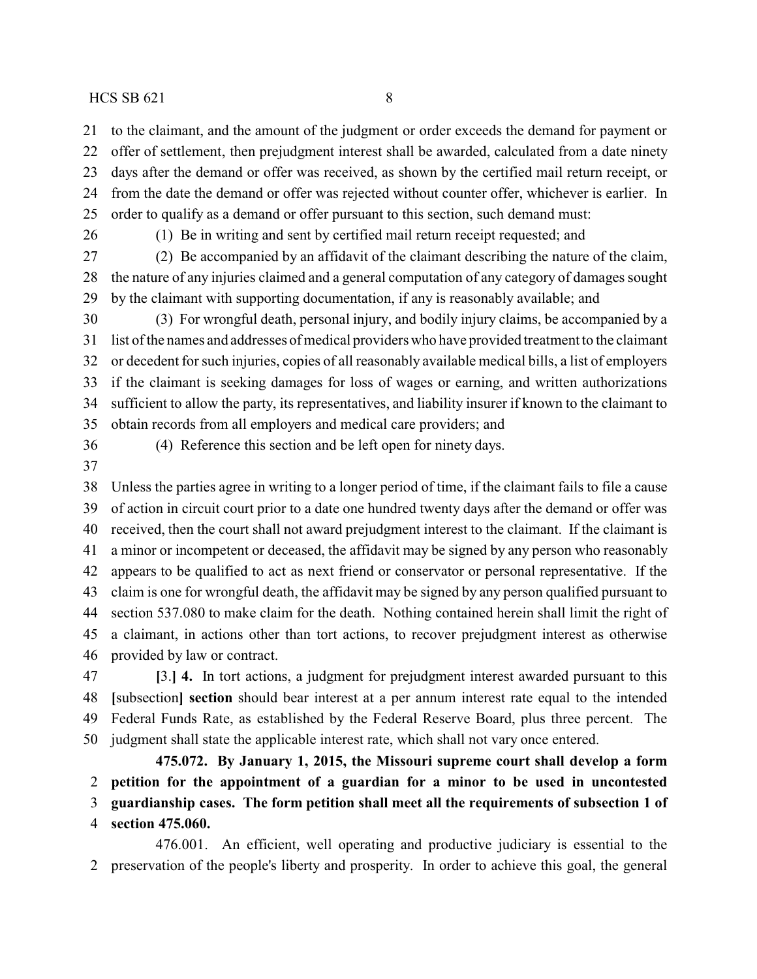to the claimant, and the amount of the judgment or order exceeds the demand for payment or offer of settlement, then prejudgment interest shall be awarded, calculated from a date ninety days after the demand or offer was received, as shown by the certified mail return receipt, or from the date the demand or offer was rejected without counter offer, whichever is earlier. In order to qualify as a demand or offer pursuant to this section, such demand must:

(1) Be in writing and sent by certified mail return receipt requested; and

 (2) Be accompanied by an affidavit of the claimant describing the nature of the claim, the nature of any injuries claimed and a general computation of any category of damages sought by the claimant with supporting documentation, if any is reasonably available; and

 (3) For wrongful death, personal injury, and bodily injury claims, be accompanied by a list of the names and addresses of medical providers who have provided treatment to the claimant or decedent for such injuries, copies of all reasonably available medical bills, a list of employers if the claimant is seeking damages for loss of wages or earning, and written authorizations sufficient to allow the party, its representatives, and liability insurer if known to the claimant to obtain records from all employers and medical care providers; and

(4) Reference this section and be left open for ninety days.

 Unless the parties agree in writing to a longer period of time, if the claimant fails to file a cause of action in circuit court prior to a date one hundred twenty days after the demand or offer was received, then the court shall not award prejudgment interest to the claimant. If the claimant is a minor or incompetent or deceased, the affidavit may be signed by any person who reasonably appears to be qualified to act as next friend or conservator or personal representative. If the claim is one for wrongful death, the affidavit may be signed by any person qualified pursuant to section 537.080 to make claim for the death. Nothing contained herein shall limit the right of a claimant, in actions other than tort actions, to recover prejudgment interest as otherwise provided by law or contract.

 **[**3.**] 4.** In tort actions, a judgment for prejudgment interest awarded pursuant to this **[**subsection**] section** should bear interest at a per annum interest rate equal to the intended Federal Funds Rate, as established by the Federal Reserve Board, plus three percent. The judgment shall state the applicable interest rate, which shall not vary once entered.

**475.072. By January 1, 2015, the Missouri supreme court shall develop a form petition for the appointment of a guardian for a minor to be used in uncontested guardianship cases. The form petition shall meet all the requirements of subsection 1 of section 475.060.**

476.001. An efficient, well operating and productive judiciary is essential to the preservation of the people's liberty and prosperity. In order to achieve this goal, the general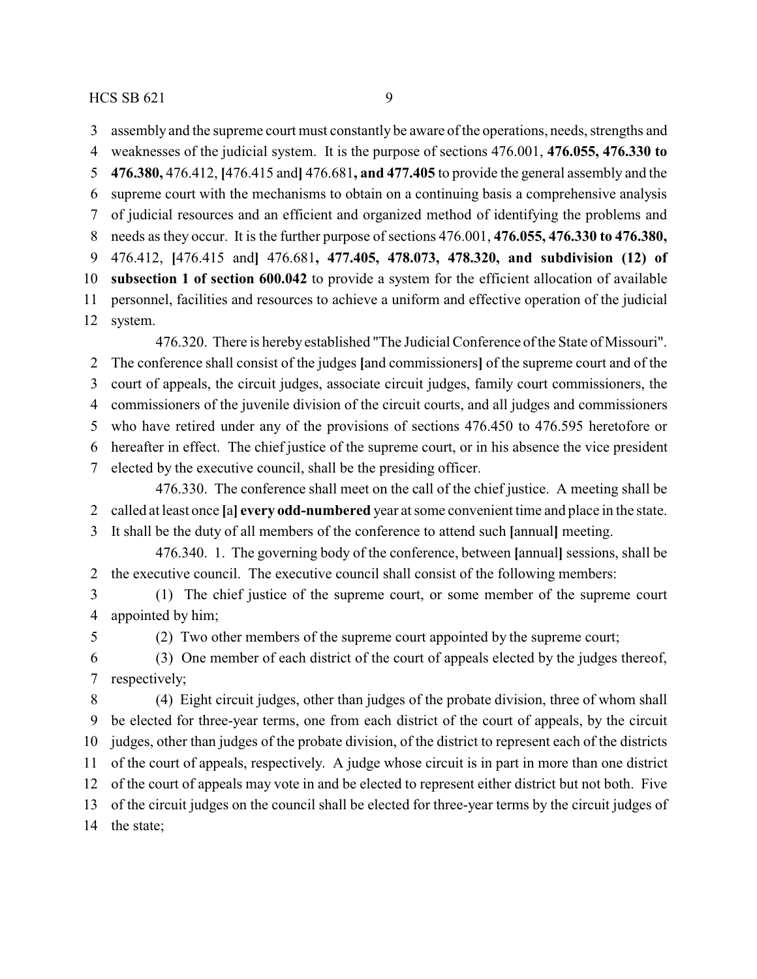assembly and the supreme court must constantly be aware of the operations, needs, strengths and

 weaknesses of the judicial system. It is the purpose of sections 476.001, **476.055, 476.330 to 476.380,** 476.412, **[**476.415 and**]** 476.681**, and 477.405** to provide the general assembly and the supreme court with the mechanisms to obtain on a continuing basis a comprehensive analysis of judicial resources and an efficient and organized method of identifying the problems and needs as they occur. It is the further purpose of sections 476.001, **476.055, 476.330 to 476.380,** 476.412, **[**476.415 and**]** 476.681**, 477.405, 478.073, 478.320, and subdivision (12) of subsection 1 of section 600.042** to provide a system for the efficient allocation of available personnel, facilities and resources to achieve a uniform and effective operation of the judicial system.

476.320. There is hereby established "The Judicial Conference of the State of Missouri". The conference shall consist of the judges **[**and commissioners**]** of the supreme court and of the court of appeals, the circuit judges, associate circuit judges, family court commissioners, the commissioners of the juvenile division of the circuit courts, and all judges and commissioners who have retired under any of the provisions of sections 476.450 to 476.595 heretofore or hereafter in effect. The chief justice of the supreme court, or in his absence the vice president elected by the executive council, shall be the presiding officer. 476.330. The conference shall meet on the call of the chief justice. A meeting shall be

called at least once **[**a**] every odd-numbered** year at some convenient time and place in the state.

It shall be the duty of all members of the conference to attend such **[**annual**]** meeting.

476.340. 1. The governing body of the conference, between **[**annual**]** sessions, shall be the executive council. The executive council shall consist of the following members:

 (1) The chief justice of the supreme court, or some member of the supreme court appointed by him;

(2) Two other members of the supreme court appointed by the supreme court;

 (3) One member of each district of the court of appeals elected by the judges thereof, respectively;

 (4) Eight circuit judges, other than judges of the probate division, three of whom shall be elected for three-year terms, one from each district of the court of appeals, by the circuit judges, other than judges of the probate division, of the district to represent each of the districts of the court of appeals, respectively. A judge whose circuit is in part in more than one district of the court of appeals may vote in and be elected to represent either district but not both. Five of the circuit judges on the council shall be elected for three-year terms by the circuit judges of the state;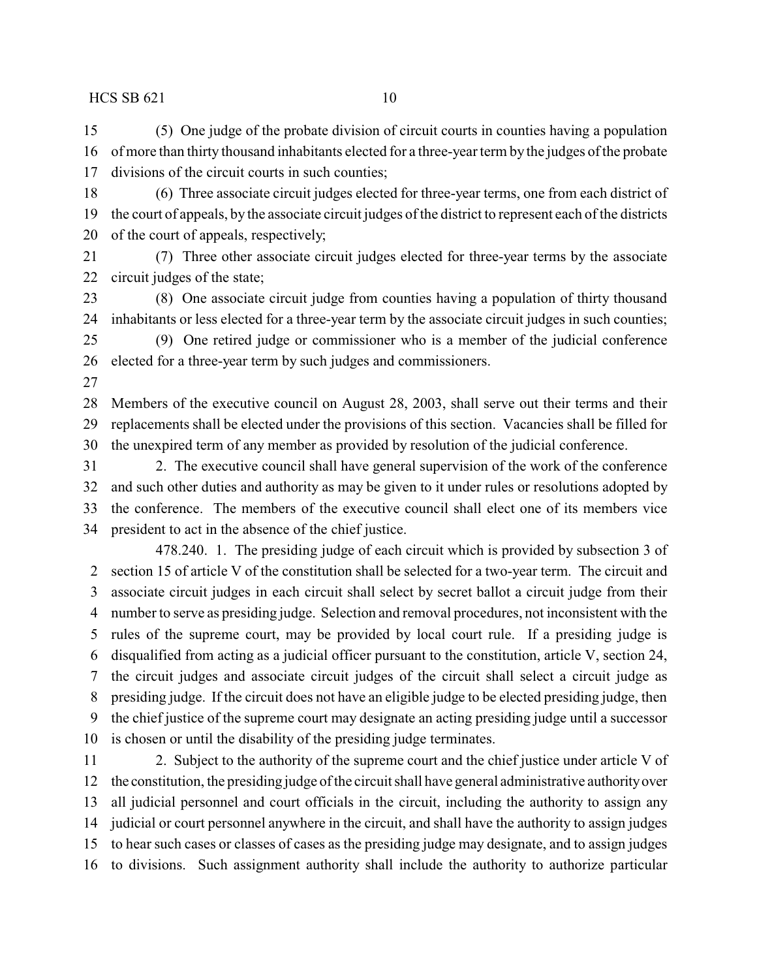(5) One judge of the probate division of circuit courts in counties having a population of more than thirty thousand inhabitants elected for a three-year term by the judges of the probate divisions of the circuit courts in such counties;

 (6) Three associate circuit judges elected for three-year terms, one from each district of the court of appeals, by the associate circuit judges of the district to represent each of the districts of the court of appeals, respectively;

 (7) Three other associate circuit judges elected for three-year terms by the associate circuit judges of the state;

 (8) One associate circuit judge from counties having a population of thirty thousand inhabitants or less elected for a three-year term by the associate circuit judges in such counties;

 (9) One retired judge or commissioner who is a member of the judicial conference elected for a three-year term by such judges and commissioners.

 Members of the executive council on August 28, 2003, shall serve out their terms and their replacements shall be elected under the provisions of this section. Vacancies shall be filled for the unexpired term of any member as provided by resolution of the judicial conference.

 2. The executive council shall have general supervision of the work of the conference and such other duties and authority as may be given to it under rules or resolutions adopted by the conference. The members of the executive council shall elect one of its members vice president to act in the absence of the chief justice.

478.240. 1. The presiding judge of each circuit which is provided by subsection 3 of section 15 of article V of the constitution shall be selected for a two-year term. The circuit and associate circuit judges in each circuit shall select by secret ballot a circuit judge from their number to serve as presiding judge. Selection and removal procedures, not inconsistent with the rules of the supreme court, may be provided by local court rule. If a presiding judge is disqualified from acting as a judicial officer pursuant to the constitution, article V, section 24, the circuit judges and associate circuit judges of the circuit shall select a circuit judge as presiding judge. If the circuit does not have an eligible judge to be elected presiding judge, then the chief justice of the supreme court may designate an acting presiding judge until a successor is chosen or until the disability of the presiding judge terminates.

 2. Subject to the authority of the supreme court and the chief justice under article V of the constitution, the presiding judge of the circuit shall have general administrative authorityover all judicial personnel and court officials in the circuit, including the authority to assign any judicial or court personnel anywhere in the circuit, and shall have the authority to assign judges to hear such cases or classes of cases as the presiding judge may designate, and to assign judges to divisions. Such assignment authority shall include the authority to authorize particular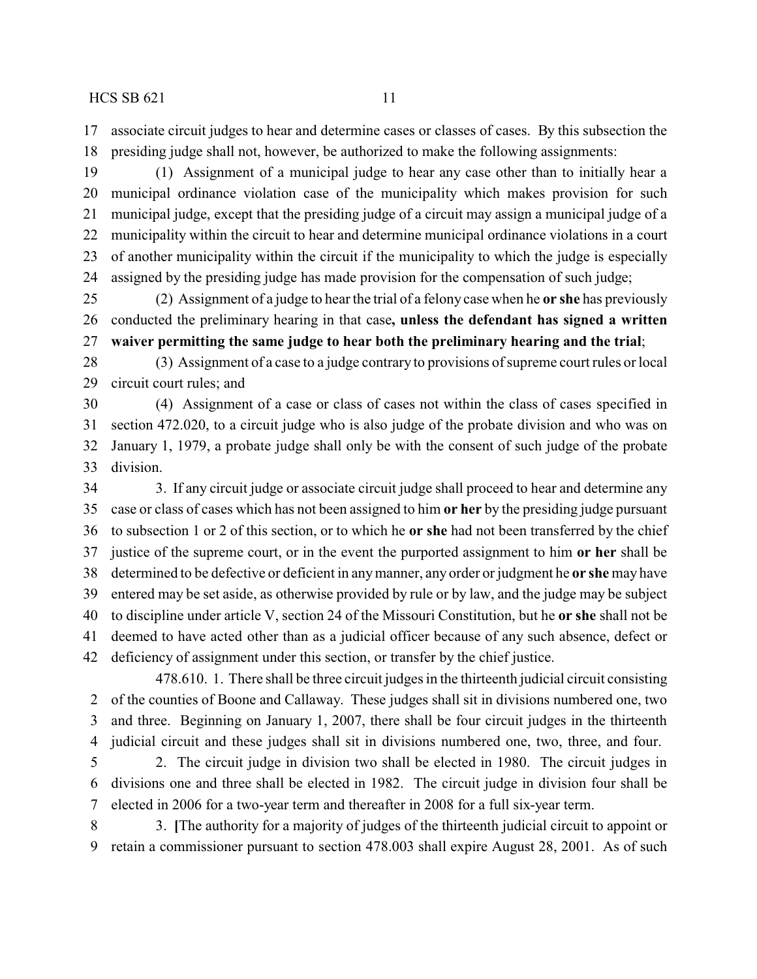associate circuit judges to hear and determine cases or classes of cases. By this subsection the presiding judge shall not, however, be authorized to make the following assignments:

 (1) Assignment of a municipal judge to hear any case other than to initially hear a municipal ordinance violation case of the municipality which makes provision for such municipal judge, except that the presiding judge of a circuit may assign a municipal judge of a municipality within the circuit to hear and determine municipal ordinance violations in a court of another municipality within the circuit if the municipality to which the judge is especially assigned by the presiding judge has made provision for the compensation of such judge;

 (2) Assignment of a judge to hear the trial of a felony case when he **or she** has previously conducted the preliminary hearing in that case**, unless the defendant has signed a written waiver permitting the same judge to hear both the preliminary hearing and the trial**;

 (3) Assignment of a case to a judge contrary to provisions of supreme court rules or local circuit court rules; and

 (4) Assignment of a case or class of cases not within the class of cases specified in section 472.020, to a circuit judge who is also judge of the probate division and who was on January 1, 1979, a probate judge shall only be with the consent of such judge of the probate division.

34 3. If any circuit judge or associate circuit judge shall proceed to hear and determine any case or class of cases which has not been assigned to him **or her** by the presiding judge pursuant to subsection 1 or 2 of this section, or to which he **or she** had not been transferred by the chief justice of the supreme court, or in the event the purported assignment to him **or her** shall be determined to be defective or deficient in anymanner, any order or judgment he **or she** may have entered may be set aside, as otherwise provided by rule or by law, and the judge may be subject to discipline under article V, section 24 of the Missouri Constitution, but he **or she** shall not be deemed to have acted other than as a judicial officer because of any such absence, defect or deficiency of assignment under this section, or transfer by the chief justice.

478.610. 1. There shall be three circuit judges in the thirteenth judicial circuit consisting of the counties of Boone and Callaway. These judges shall sit in divisions numbered one, two and three. Beginning on January 1, 2007, there shall be four circuit judges in the thirteenth judicial circuit and these judges shall sit in divisions numbered one, two, three, and four.

 2. The circuit judge in division two shall be elected in 1980. The circuit judges in divisions one and three shall be elected in 1982. The circuit judge in division four shall be elected in 2006 for a two-year term and thereafter in 2008 for a full six-year term.

 3. **[**The authority for a majority of judges of the thirteenth judicial circuit to appoint or retain a commissioner pursuant to section 478.003 shall expire August 28, 2001. As of such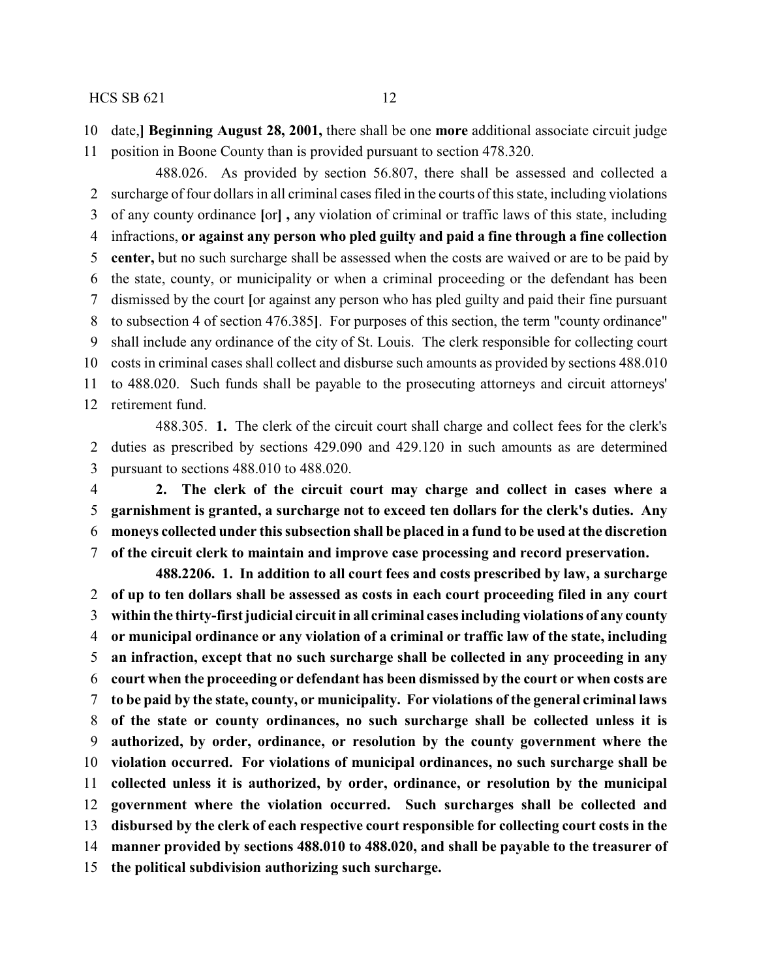date,**] Beginning August 28, 2001,** there shall be one **more** additional associate circuit judge

position in Boone County than is provided pursuant to section 478.320.

488.026. As provided by section 56.807, there shall be assessed and collected a surcharge of four dollars in all criminal cases filed in the courts of this state, including violations of any county ordinance **[**or**] ,** any violation of criminal or traffic laws of this state, including infractions, **or against any person who pled guilty and paid a fine through a fine collection center,** but no such surcharge shall be assessed when the costs are waived or are to be paid by the state, county, or municipality or when a criminal proceeding or the defendant has been dismissed by the court **[**or against any person who has pled guilty and paid their fine pursuant to subsection 4 of section 476.385**]**. For purposes of this section, the term "county ordinance" shall include any ordinance of the city of St. Louis. The clerk responsible for collecting court costs in criminal cases shall collect and disburse such amounts as provided by sections 488.010 to 488.020. Such funds shall be payable to the prosecuting attorneys and circuit attorneys' retirement fund.

488.305. **1.** The clerk of the circuit court shall charge and collect fees for the clerk's duties as prescribed by sections 429.090 and 429.120 in such amounts as are determined pursuant to sections 488.010 to 488.020.

 **2. The clerk of the circuit court may charge and collect in cases where a garnishment is granted, a surcharge not to exceed ten dollars for the clerk's duties. Any moneys collected under this subsection shall be placed in a fund to be used at the discretion of the circuit clerk to maintain and improve case processing and record preservation.**

**488.2206. 1. In addition to all court fees and costs prescribed by law, a surcharge of up to ten dollars shall be assessed as costs in each court proceeding filed in any court within the thirty-first judicial circuit in all criminal cases including violations of any county or municipal ordinance or any violation of a criminal or traffic law of the state, including an infraction, except that no such surcharge shall be collected in any proceeding in any court when the proceeding or defendant has been dismissed by the court or when costs are to be paid by the state, county, or municipality. For violations of the general criminal laws of the state or county ordinances, no such surcharge shall be collected unless it is authorized, by order, ordinance, or resolution by the county government where the violation occurred. For violations of municipal ordinances, no such surcharge shall be collected unless it is authorized, by order, ordinance, or resolution by the municipal government where the violation occurred. Such surcharges shall be collected and disbursed by the clerk of each respective court responsible for collecting court costs in the manner provided by sections 488.010 to 488.020, and shall be payable to the treasurer of the political subdivision authorizing such surcharge.**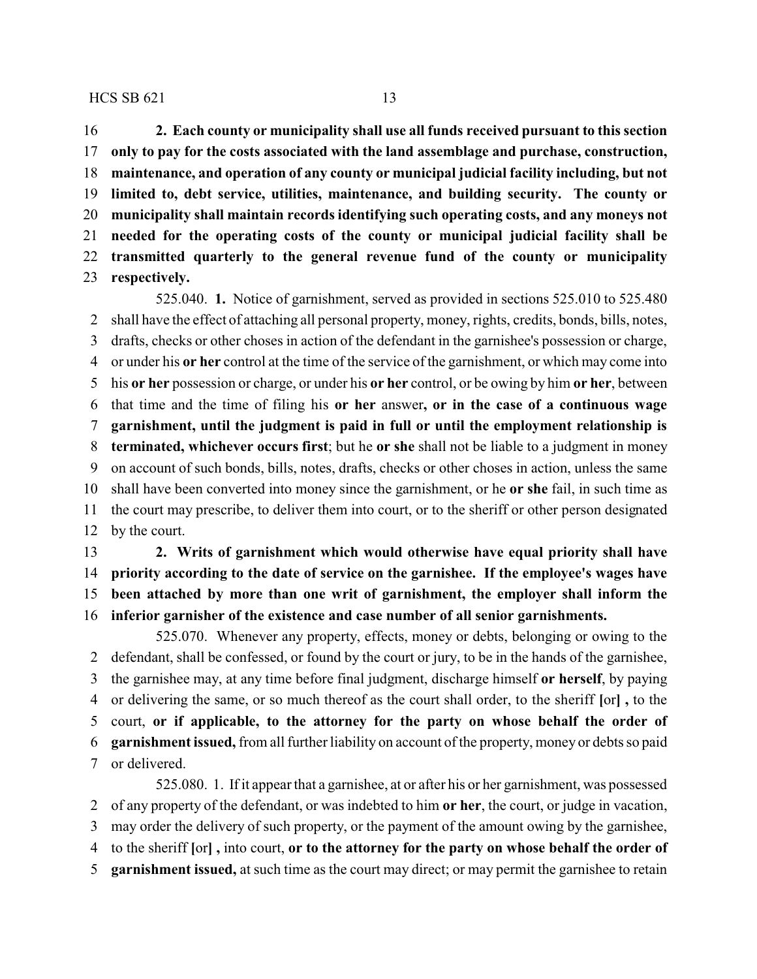**2. Each county or municipality shall use all funds received pursuant to this section only to pay for the costs associated with the land assemblage and purchase, construction, maintenance, and operation of any county or municipal judicial facility including, but not limited to, debt service, utilities, maintenance, and building security. The county or municipality shall maintain records identifying such operating costs, and any moneys not needed for the operating costs of the county or municipal judicial facility shall be transmitted quarterly to the general revenue fund of the county or municipality respectively.**

525.040. **1.** Notice of garnishment, served as provided in sections 525.010 to 525.480 shall have the effect of attaching all personal property, money, rights, credits, bonds, bills, notes, drafts, checks or other choses in action of the defendant in the garnishee's possession or charge, or under his **or her** control at the time of the service of the garnishment, or which may come into his **or her** possession or charge, or under his **or her** control, or be owing by him **or her**, between that time and the time of filing his **or her** answer**, or in the case of a continuous wage garnishment, until the judgment is paid in full or until the employment relationship is terminated, whichever occurs first**; but he **or she** shall not be liable to a judgment in money on account of such bonds, bills, notes, drafts, checks or other choses in action, unless the same shall have been converted into money since the garnishment, or he **or she** fail, in such time as the court may prescribe, to deliver them into court, or to the sheriff or other person designated by the court.

 **2. Writs of garnishment which would otherwise have equal priority shall have priority according to the date of service on the garnishee. If the employee's wages have been attached by more than one writ of garnishment, the employer shall inform the inferior garnisher of the existence and case number of all senior garnishments.**

525.070. Whenever any property, effects, money or debts, belonging or owing to the defendant, shall be confessed, or found by the court or jury, to be in the hands of the garnishee, the garnishee may, at any time before final judgment, discharge himself **or herself**, by paying or delivering the same, or so much thereof as the court shall order, to the sheriff **[**or**] ,** to the court, **or if applicable, to the attorney for the party on whose behalf the order of garnishment issued,** from all further liability on account of the property, money or debts so paid or delivered.

525.080. 1. If it appear that a garnishee, at or after his or her garnishment, was possessed of any property of the defendant, or was indebted to him **or her**, the court, or judge in vacation, may order the delivery of such property, or the payment of the amount owing by the garnishee, to the sheriff **[**or**] ,** into court, **or to the attorney for the party on whose behalf the order of garnishment issued,** at such time as the court may direct; or may permit the garnishee to retain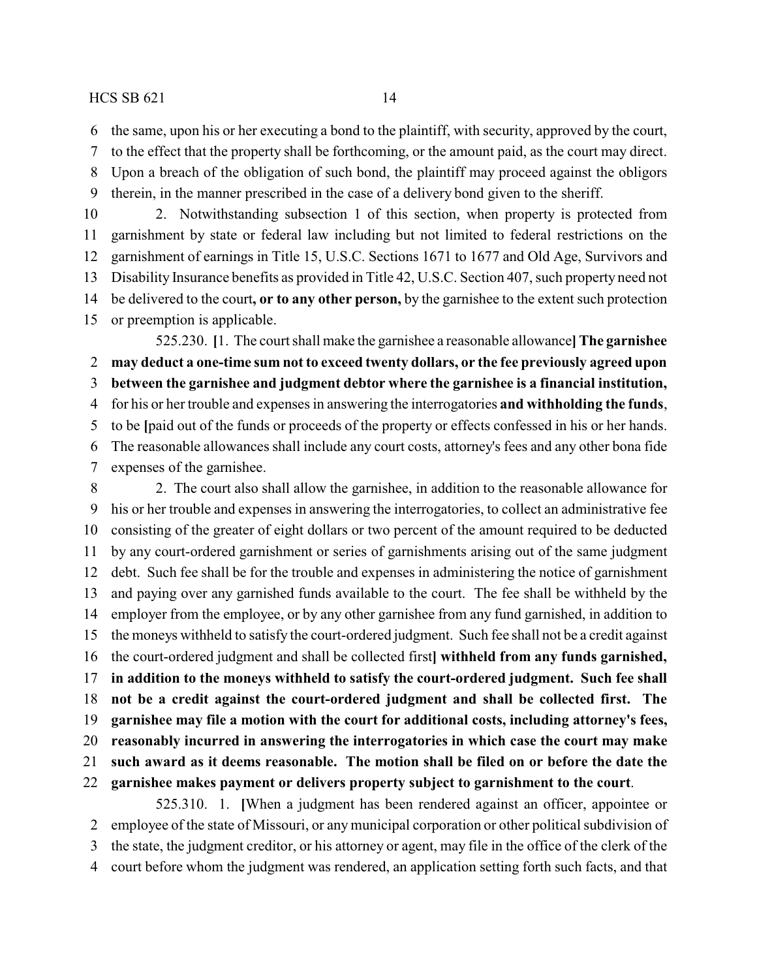the same, upon his or her executing a bond to the plaintiff, with security, approved by the court,

to the effect that the property shall be forthcoming, or the amount paid, as the court may direct.

- Upon a breach of the obligation of such bond, the plaintiff may proceed against the obligors
- therein, in the manner prescribed in the case of a delivery bond given to the sheriff.

 2. Notwithstanding subsection 1 of this section, when property is protected from garnishment by state or federal law including but not limited to federal restrictions on the garnishment of earnings in Title 15, U.S.C. Sections 1671 to 1677 and Old Age, Survivors and Disability Insurance benefits as provided in Title 42, U.S.C. Section 407, such property need not be delivered to the court**, or to any other person,** by the garnishee to the extent such protection or preemption is applicable.

525.230. **[**1. The court shall make the garnishee a reasonable allowance**]The garnishee may deduct a one-time sum not to exceed twenty dollars, or the fee previously agreed upon**

**between the garnishee and judgment debtor where the garnishee is a financial institution,**

for his or her trouble and expenses in answering the interrogatories **and withholding the funds**,

to be **[**paid out of the funds or proceeds of the property or effects confessed in his or her hands.

The reasonable allowances shall include any court costs, attorney's fees and any other bona fide

expenses of the garnishee.

 2. The court also shall allow the garnishee, in addition to the reasonable allowance for his or her trouble and expenses in answering the interrogatories, to collect an administrative fee consisting of the greater of eight dollars or two percent of the amount required to be deducted by any court-ordered garnishment or series of garnishments arising out of the same judgment debt. Such fee shall be for the trouble and expenses in administering the notice of garnishment and paying over any garnished funds available to the court. The fee shall be withheld by the employer from the employee, or by any other garnishee from any fund garnished, in addition to the moneys withheld to satisfy the court-ordered judgment. Such fee shall not be a credit against the court-ordered judgment and shall be collected first**] withheld from any funds garnished, in addition to the moneys withheld to satisfy the court-ordered judgment. Such fee shall not be a credit against the court-ordered judgment and shall be collected first. The garnishee may file a motion with the court for additional costs, including attorney's fees, reasonably incurred in answering the interrogatories in which case the court may make such award as it deems reasonable. The motion shall be filed on or before the date the garnishee makes payment or delivers property subject to garnishment to the court**.

525.310. 1. **[**When a judgment has been rendered against an officer, appointee or employee of the state of Missouri, or any municipal corporation or other political subdivision of the state, the judgment creditor, or his attorney or agent, may file in the office of the clerk of the court before whom the judgment was rendered, an application setting forth such facts, and that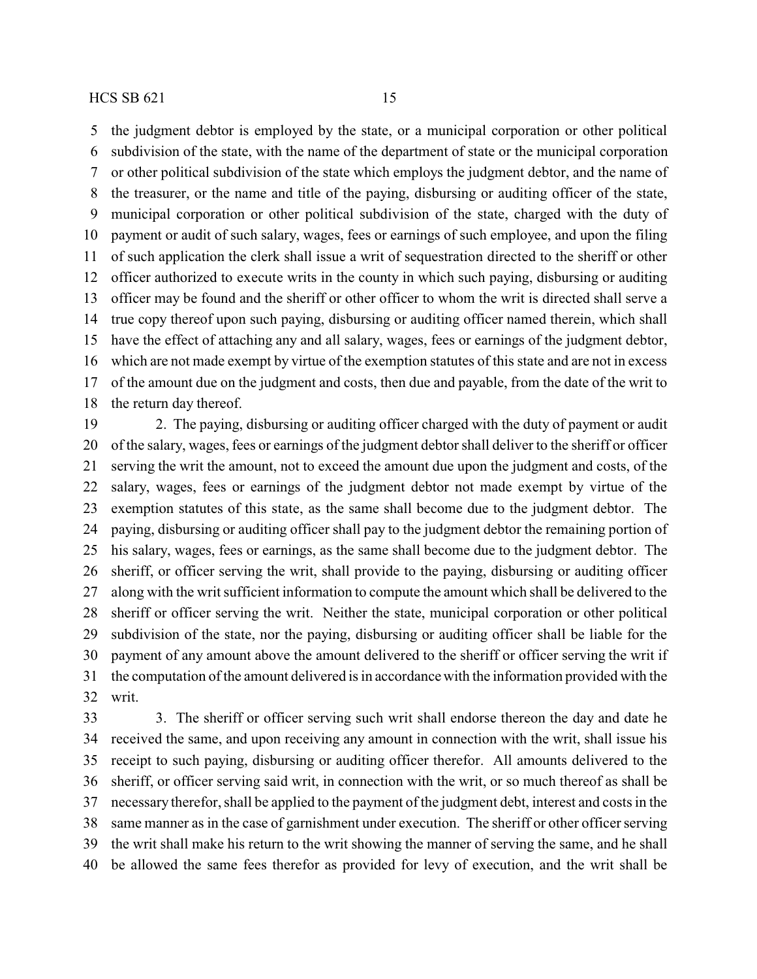the judgment debtor is employed by the state, or a municipal corporation or other political subdivision of the state, with the name of the department of state or the municipal corporation or other political subdivision of the state which employs the judgment debtor, and the name of the treasurer, or the name and title of the paying, disbursing or auditing officer of the state, municipal corporation or other political subdivision of the state, charged with the duty of payment or audit of such salary, wages, fees or earnings of such employee, and upon the filing of such application the clerk shall issue a writ of sequestration directed to the sheriff or other officer authorized to execute writs in the county in which such paying, disbursing or auditing officer may be found and the sheriff or other officer to whom the writ is directed shall serve a true copy thereof upon such paying, disbursing or auditing officer named therein, which shall have the effect of attaching any and all salary, wages, fees or earnings of the judgment debtor, which are not made exempt by virtue of the exemption statutes of this state and are not in excess of the amount due on the judgment and costs, then due and payable, from the date of the writ to the return day thereof.

 2. The paying, disbursing or auditing officer charged with the duty of payment or audit of the salary, wages, fees or earnings of the judgment debtor shall deliver to the sheriff or officer serving the writ the amount, not to exceed the amount due upon the judgment and costs, of the salary, wages, fees or earnings of the judgment debtor not made exempt by virtue of the exemption statutes of this state, as the same shall become due to the judgment debtor. The paying, disbursing or auditing officer shall pay to the judgment debtor the remaining portion of his salary, wages, fees or earnings, as the same shall become due to the judgment debtor. The sheriff, or officer serving the writ, shall provide to the paying, disbursing or auditing officer along with the writ sufficient information to compute the amount which shall be delivered to the sheriff or officer serving the writ. Neither the state, municipal corporation or other political subdivision of the state, nor the paying, disbursing or auditing officer shall be liable for the payment of any amount above the amount delivered to the sheriff or officer serving the writ if the computation of the amount delivered is in accordance with the information provided with the writ.

 3. The sheriff or officer serving such writ shall endorse thereon the day and date he received the same, and upon receiving any amount in connection with the writ, shall issue his receipt to such paying, disbursing or auditing officer therefor. All amounts delivered to the sheriff, or officer serving said writ, in connection with the writ, or so much thereof as shall be necessary therefor, shall be applied to the payment of the judgment debt, interest and costs in the same manner as in the case of garnishment under execution. The sheriff or other officer serving the writ shall make his return to the writ showing the manner of serving the same, and he shall be allowed the same fees therefor as provided for levy of execution, and the writ shall be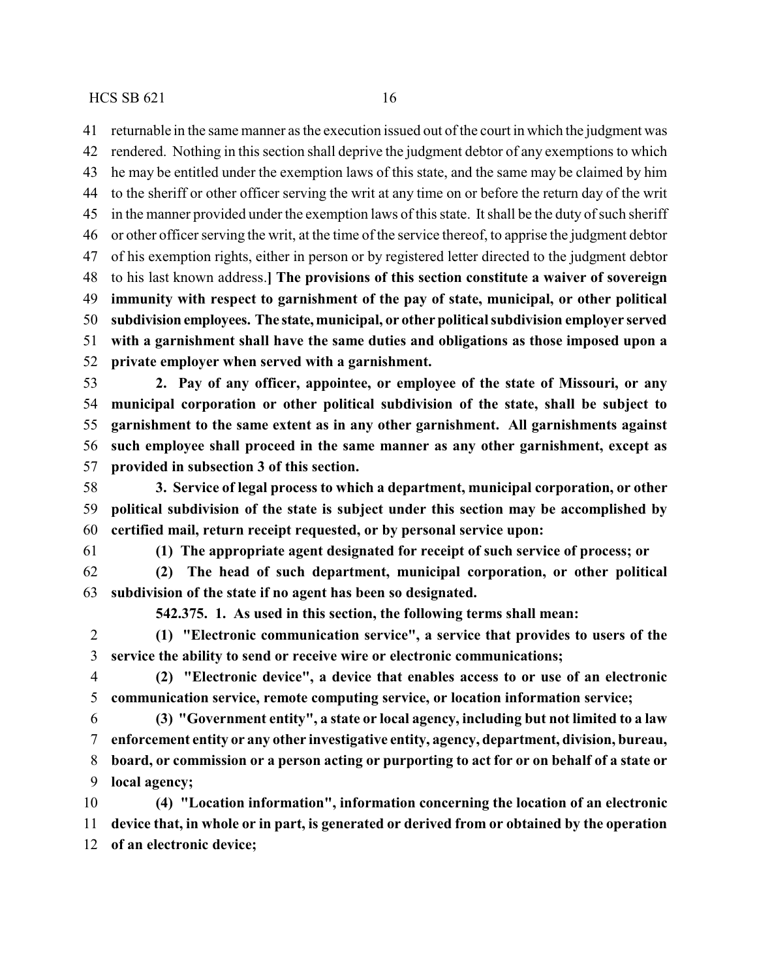returnable in the same manner as the execution issued out of the court in which the judgment was rendered. Nothing in this section shall deprive the judgment debtor of any exemptions to which he may be entitled under the exemption laws of this state, and the same may be claimed by him to the sheriff or other officer serving the writ at any time on or before the return day of the writ in the manner provided under the exemption laws of this state. It shall be the duty of such sheriff or other officer serving the writ, at the time of the service thereof, to apprise the judgment debtor of his exemption rights, either in person or by registered letter directed to the judgment debtor to his last known address.**] The provisions of this section constitute a waiver of sovereign immunity with respect to garnishment of the pay of state, municipal, or other political subdivision employees. The state, municipal, or other political subdivision employer served with a garnishment shall have the same duties and obligations as those imposed upon a private employer when served with a garnishment.**

 **2. Pay of any officer, appointee, or employee of the state of Missouri, or any municipal corporation or other political subdivision of the state, shall be subject to garnishment to the same extent as in any other garnishment. All garnishments against such employee shall proceed in the same manner as any other garnishment, except as provided in subsection 3 of this section.**

 **3. Service of legal process to which a department, municipal corporation, or other political subdivision of the state is subject under this section may be accomplished by certified mail, return receipt requested, or by personal service upon:**

**(1) The appropriate agent designated for receipt of such service of process; or**

 **(2) The head of such department, municipal corporation, or other political subdivision of the state if no agent has been so designated.**

**542.375. 1. As used in this section, the following terms shall mean:**

 **(1) "Electronic communication service", a service that provides to users of the service the ability to send or receive wire or electronic communications;**

 **(2) "Electronic device", a device that enables access to or use of an electronic communication service, remote computing service, or location information service;**

 **(3) "Government entity", a state or local agency, including but not limited to a law enforcement entity or any other investigative entity, agency, department, division, bureau, board, or commission or a person acting or purporting to act for or on behalf of a state or local agency;**

 **(4) "Location information", information concerning the location of an electronic device that, in whole or in part, is generated or derived from or obtained by the operation of an electronic device;**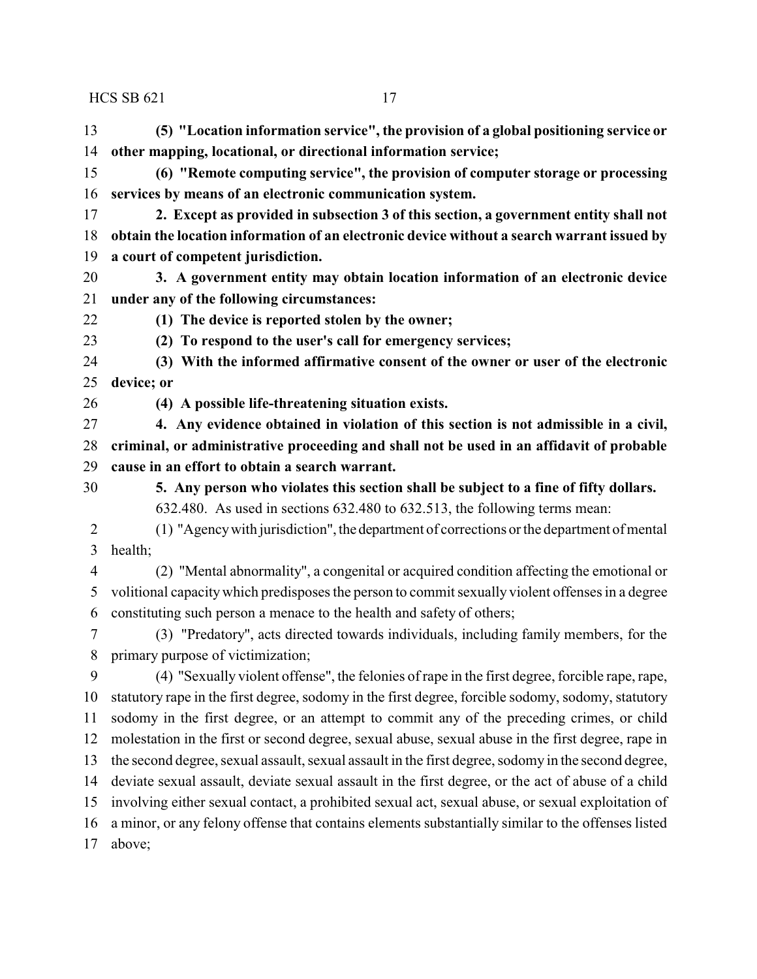**(5) "Location information service", the provision of a global positioning service or other mapping, locational, or directional information service;**

 **(6) "Remote computing service", the provision of computer storage or processing services by means of an electronic communication system.**

 **2. Except as provided in subsection 3 of this section, a government entity shall not obtain the location information of an electronic device without a search warrant issued by a court of competent jurisdiction.**

 **3. A government entity may obtain location information of an electronic device under any of the following circumstances:**

**(1) The device is reported stolen by the owner;**

**(2) To respond to the user's call for emergency services;**

 **(3) With the informed affirmative consent of the owner or user of the electronic device; or**

**(4) A possible life-threatening situation exists.**

**4. Any evidence obtained in violation of this section is not admissible in a civil,**

 **criminal, or administrative proceeding and shall not be used in an affidavit of probable cause in an effort to obtain a search warrant.**

 **5. Any person who violates this section shall be subject to a fine of fifty dollars.** 632.480. As used in sections 632.480 to 632.513, the following terms mean:

 (1) "Agencywith jurisdiction", the department of corrections or the department of mental health;

 (2) "Mental abnormality", a congenital or acquired condition affecting the emotional or volitional capacitywhich predisposes the person to commit sexually violent offenses in a degree constituting such person a menace to the health and safety of others;

 (3) "Predatory", acts directed towards individuals, including family members, for the primary purpose of victimization;

 (4) "Sexually violent offense", the felonies of rape in the first degree, forcible rape, rape, statutory rape in the first degree, sodomy in the first degree, forcible sodomy, sodomy, statutory sodomy in the first degree, or an attempt to commit any of the preceding crimes, or child molestation in the first or second degree, sexual abuse, sexual abuse in the first degree, rape in the second degree, sexual assault, sexual assault in the first degree, sodomy in the second degree, deviate sexual assault, deviate sexual assault in the first degree, or the act of abuse of a child involving either sexual contact, a prohibited sexual act, sexual abuse, or sexual exploitation of a minor, or any felony offense that contains elements substantially similar to the offenses listed above;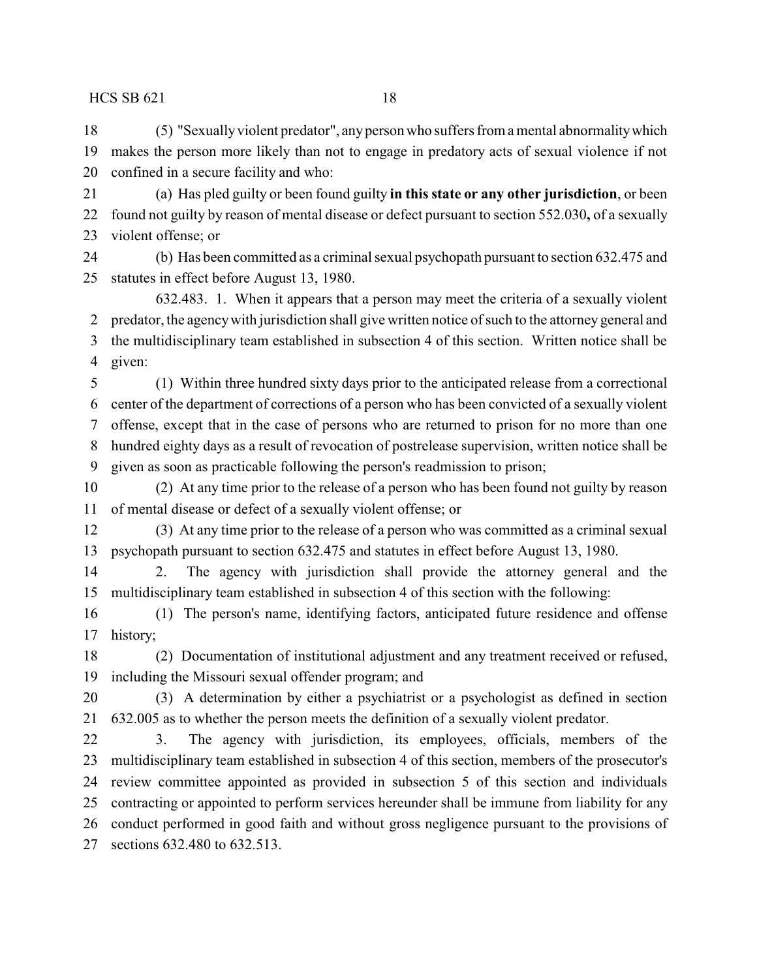(5) "Sexuallyviolent predator", anyperson who suffers from a mental abnormalitywhich makes the person more likely than not to engage in predatory acts of sexual violence if not confined in a secure facility and who:

 (a) Has pled guilty or been found guilty **in this state or any other jurisdiction**, or been found not guilty by reason of mental disease or defect pursuant to section 552.030**,** of a sexually violent offense; or

 (b) Has been committed as a criminal sexual psychopath pursuant to section 632.475 and statutes in effect before August 13, 1980.

632.483. 1. When it appears that a person may meet the criteria of a sexually violent predator, the agencywith jurisdiction shall give written notice of such to the attorney general and the multidisciplinary team established in subsection 4 of this section. Written notice shall be given:

 (1) Within three hundred sixty days prior to the anticipated release from a correctional center of the department of corrections of a person who has been convicted of a sexually violent offense, except that in the case of persons who are returned to prison for no more than one hundred eighty days as a result of revocation of postrelease supervision, written notice shall be given as soon as practicable following the person's readmission to prison;

 (2) At any time prior to the release of a person who has been found not guilty by reason of mental disease or defect of a sexually violent offense; or

 (3) At any time prior to the release of a person who was committed as a criminal sexual psychopath pursuant to section 632.475 and statutes in effect before August 13, 1980.

 2. The agency with jurisdiction shall provide the attorney general and the multidisciplinary team established in subsection 4 of this section with the following:

 (1) The person's name, identifying factors, anticipated future residence and offense history;

 (2) Documentation of institutional adjustment and any treatment received or refused, including the Missouri sexual offender program; and

 (3) A determination by either a psychiatrist or a psychologist as defined in section 632.005 as to whether the person meets the definition of a sexually violent predator.

 3. The agency with jurisdiction, its employees, officials, members of the multidisciplinary team established in subsection 4 of this section, members of the prosecutor's review committee appointed as provided in subsection 5 of this section and individuals contracting or appointed to perform services hereunder shall be immune from liability for any conduct performed in good faith and without gross negligence pursuant to the provisions of sections 632.480 to 632.513.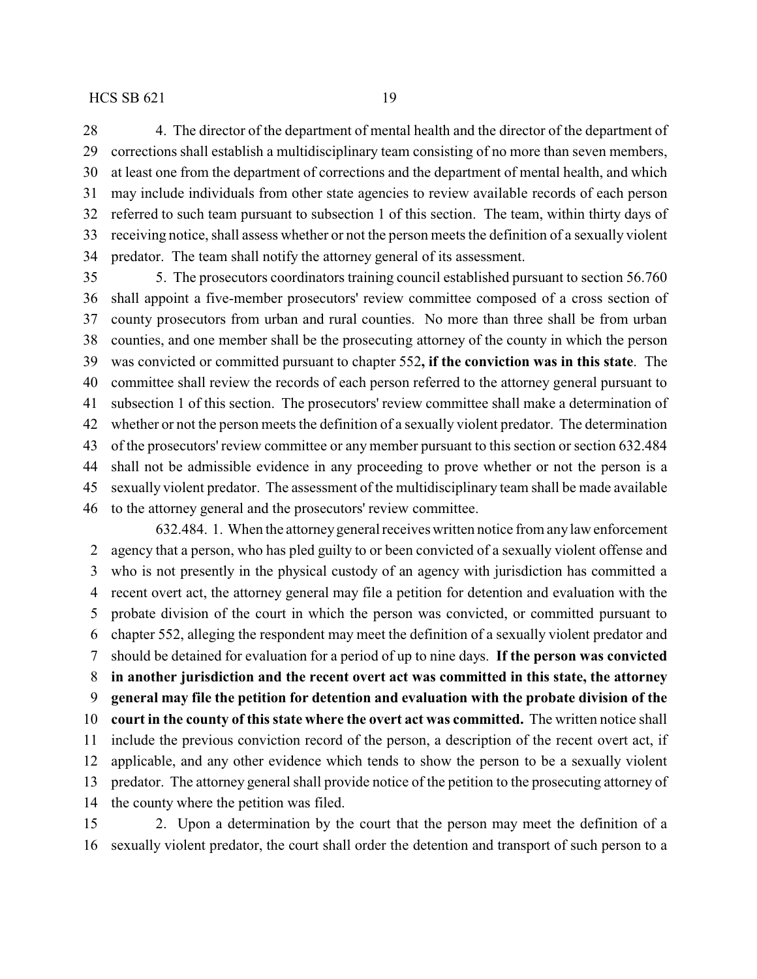4. The director of the department of mental health and the director of the department of corrections shall establish a multidisciplinary team consisting of no more than seven members, at least one from the department of corrections and the department of mental health, and which may include individuals from other state agencies to review available records of each person referred to such team pursuant to subsection 1 of this section. The team, within thirty days of receiving notice, shall assess whether or not the person meets the definition of a sexually violent predator. The team shall notify the attorney general of its assessment.

 5. The prosecutors coordinators training council established pursuant to section 56.760 shall appoint a five-member prosecutors' review committee composed of a cross section of county prosecutors from urban and rural counties. No more than three shall be from urban counties, and one member shall be the prosecuting attorney of the county in which the person was convicted or committed pursuant to chapter 552**, if the conviction was in this state**. The committee shall review the records of each person referred to the attorney general pursuant to subsection 1 of this section. The prosecutors' review committee shall make a determination of whether or not the person meets the definition of a sexually violent predator. The determination of the prosecutors' review committee or any member pursuant to this section or section 632.484 shall not be admissible evidence in any proceeding to prove whether or not the person is a sexually violent predator. The assessment of the multidisciplinary team shall be made available to the attorney general and the prosecutors' review committee.

632.484. 1. When the attorneygeneral receives written notice from anylaw enforcement agency that a person, who has pled guilty to or been convicted of a sexually violent offense and who is not presently in the physical custody of an agency with jurisdiction has committed a recent overt act, the attorney general may file a petition for detention and evaluation with the probate division of the court in which the person was convicted, or committed pursuant to chapter 552, alleging the respondent may meet the definition of a sexually violent predator and should be detained for evaluation for a period of up to nine days. **If the person was convicted in another jurisdiction and the recent overt act was committed in this state, the attorney general may file the petition for detention and evaluation with the probate division of the court in the county of this state where the overt act was committed.** The written notice shall include the previous conviction record of the person, a description of the recent overt act, if applicable, and any other evidence which tends to show the person to be a sexually violent predator. The attorney general shall provide notice of the petition to the prosecuting attorney of the county where the petition was filed.

 2. Upon a determination by the court that the person may meet the definition of a sexually violent predator, the court shall order the detention and transport of such person to a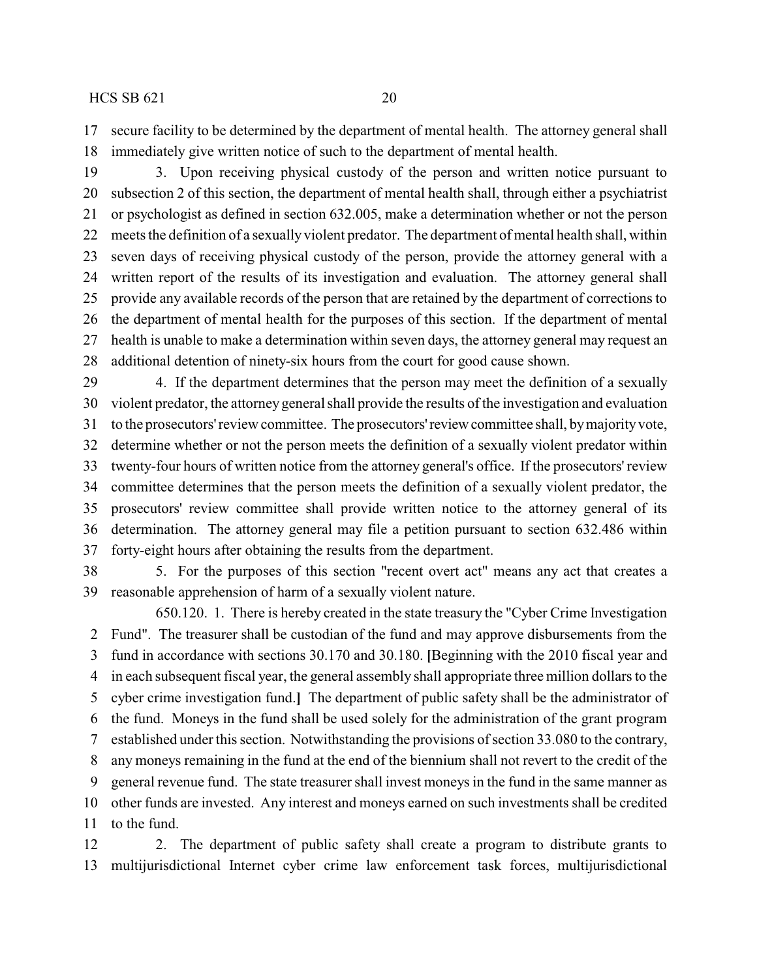secure facility to be determined by the department of mental health. The attorney general shall immediately give written notice of such to the department of mental health.

 3. Upon receiving physical custody of the person and written notice pursuant to subsection 2 of this section, the department of mental health shall, through either a psychiatrist or psychologist as defined in section 632.005, make a determination whether or not the person meets the definition of a sexually violent predator. The department of mental health shall, within seven days of receiving physical custody of the person, provide the attorney general with a written report of the results of its investigation and evaluation. The attorney general shall provide any available records of the person that are retained by the department of corrections to the department of mental health for the purposes of this section. If the department of mental health is unable to make a determination within seven days, the attorney general may request an additional detention of ninety-six hours from the court for good cause shown.

 4. If the department determines that the person may meet the definition of a sexually violent predator, the attorney general shall provide the results of the investigation and evaluation to the prosecutors'review committee. The prosecutors'reviewcommittee shall, bymajorityvote, determine whether or not the person meets the definition of a sexually violent predator within twenty-four hours of written notice from the attorney general's office. If the prosecutors' review committee determines that the person meets the definition of a sexually violent predator, the prosecutors' review committee shall provide written notice to the attorney general of its determination. The attorney general may file a petition pursuant to section 632.486 within forty-eight hours after obtaining the results from the department.

 5. For the purposes of this section "recent overt act" means any act that creates a reasonable apprehension of harm of a sexually violent nature.

650.120. 1. There is hereby created in the state treasury the "Cyber Crime Investigation Fund". The treasurer shall be custodian of the fund and may approve disbursements from the fund in accordance with sections 30.170 and 30.180. **[**Beginning with the 2010 fiscal year and in each subsequent fiscal year, the general assembly shall appropriate three million dollars to the cyber crime investigation fund.**]** The department of public safety shall be the administrator of the fund. Moneys in the fund shall be used solely for the administration of the grant program established under this section. Notwithstanding the provisions of section 33.080 to the contrary, any moneys remaining in the fund at the end of the biennium shall not revert to the credit of the general revenue fund. The state treasurer shall invest moneys in the fund in the same manner as other funds are invested. Any interest and moneys earned on such investments shall be credited to the fund.

 2. The department of public safety shall create a program to distribute grants to multijurisdictional Internet cyber crime law enforcement task forces, multijurisdictional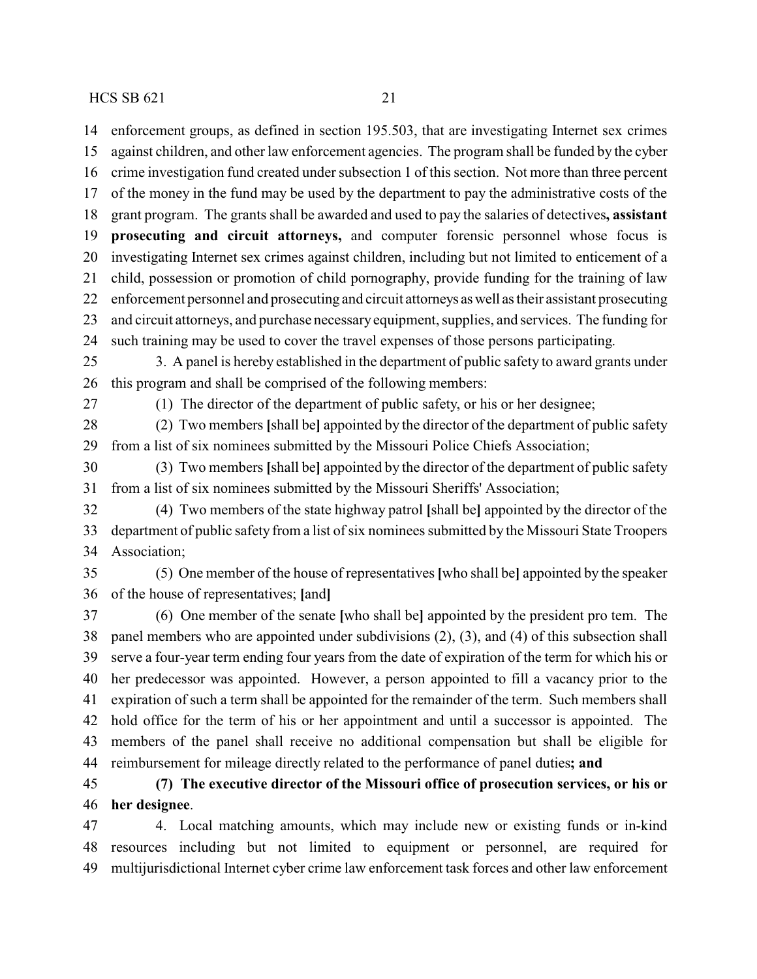enforcement groups, as defined in section 195.503, that are investigating Internet sex crimes against children, and other law enforcement agencies. The program shall be funded by the cyber crime investigation fund created under subsection 1 of this section. Not more than three percent of the money in the fund may be used by the department to pay the administrative costs of the grant program. The grants shall be awarded and used to pay the salaries of detectives**, assistant prosecuting and circuit attorneys,** and computer forensic personnel whose focus is investigating Internet sex crimes against children, including but not limited to enticement of a child, possession or promotion of child pornography, provide funding for the training of law enforcement personnel and prosecuting and circuit attorneys aswell as their assistant prosecuting and circuit attorneys, and purchase necessaryequipment, supplies, and services. The funding for such training may be used to cover the travel expenses of those persons participating. 3. A panel is hereby established in the department of public safety to award grants under this program and shall be comprised of the following members: (1) The director of the department of public safety, or his or her designee; (2) Two members **[**shall be**]** appointed by the director of the department of public safety from a list of six nominees submitted by the Missouri Police Chiefs Association; (3) Two members **[**shall be**]** appointed by the director of the department of public safety from a list of six nominees submitted by the Missouri Sheriffs' Association; (4) Two members of the state highway patrol **[**shall be**]** appointed by the director of the department of public safety from a list of six nominees submitted by the Missouri State Troopers Association; (5) One member of the house of representatives **[**who shall be**]** appointed by the speaker of the house of representatives; **[**and**]** (6) One member of the senate **[**who shall be**]** appointed by the president pro tem. The panel members who are appointed under subdivisions (2), (3), and (4) of this subsection shall serve a four-year term ending four years from the date of expiration of the term for which his or her predecessor was appointed. However, a person appointed to fill a vacancy prior to the expiration of such a term shall be appointed for the remainder of the term. Such members shall hold office for the term of his or her appointment and until a successor is appointed. The members of the panel shall receive no additional compensation but shall be eligible for reimbursement for mileage directly related to the performance of panel duties**; and (7) The executive director of the Missouri office of prosecution services, or his or her designee**.

 4. Local matching amounts, which may include new or existing funds or in-kind resources including but not limited to equipment or personnel, are required for multijurisdictional Internet cyber crime law enforcement task forces and other law enforcement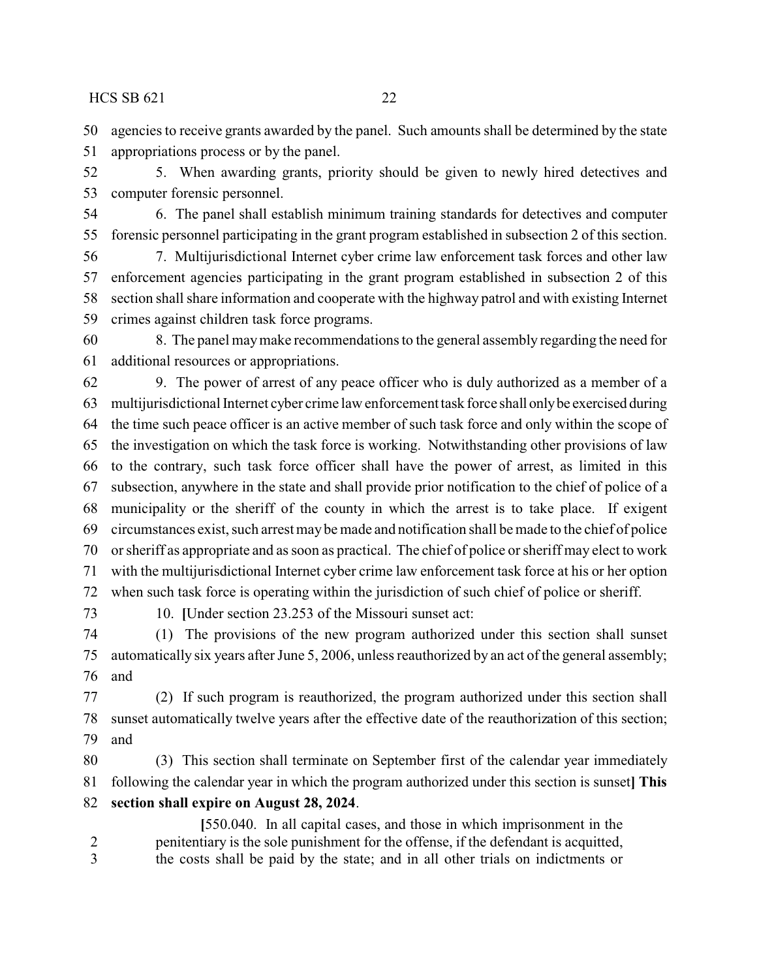agencies to receive grants awarded by the panel. Such amounts shall be determined by the state appropriations process or by the panel.

 5. When awarding grants, priority should be given to newly hired detectives and computer forensic personnel.

 6. The panel shall establish minimum training standards for detectives and computer forensic personnel participating in the grant program established in subsection 2 of this section.

 7. Multijurisdictional Internet cyber crime law enforcement task forces and other law enforcement agencies participating in the grant program established in subsection 2 of this section shall share information and cooperate with the highway patrol and with existing Internet crimes against children task force programs.

 8. The panel maymake recommendations to the general assembly regarding the need for additional resources or appropriations.

 9. The power of arrest of any peace officer who is duly authorized as a member of a multijurisdictional Internet cyber crime law enforcement task force shall onlybe exercised during the time such peace officer is an active member of such task force and only within the scope of the investigation on which the task force is working. Notwithstanding other provisions of law to the contrary, such task force officer shall have the power of arrest, as limited in this subsection, anywhere in the state and shall provide prior notification to the chief of police of a municipality or the sheriff of the county in which the arrest is to take place. If exigent circumstances exist, such arrest may be made and notification shall be made to the chief of police or sheriff as appropriate and as soon as practical. The chief of police or sheriff may elect to work with the multijurisdictional Internet cyber crime law enforcement task force at his or her option when such task force is operating within the jurisdiction of such chief of police or sheriff.

10. **[**Under section 23.253 of the Missouri sunset act:

 (1) The provisions of the new program authorized under this section shall sunset automatically six years after June 5, 2006, unless reauthorized by an act of the general assembly; and

 (2) If such program is reauthorized, the program authorized under this section shall sunset automatically twelve years after the effective date of the reauthorization of this section; and

 (3) This section shall terminate on September first of the calendar year immediately following the calendar year in which the program authorized under this section is sunset**] This section shall expire on August 28, 2024**.

**[**550.040. In all capital cases, and those in which imprisonment in the penitentiary is the sole punishment for the offense, if the defendant is acquitted, the costs shall be paid by the state; and in all other trials on indictments or